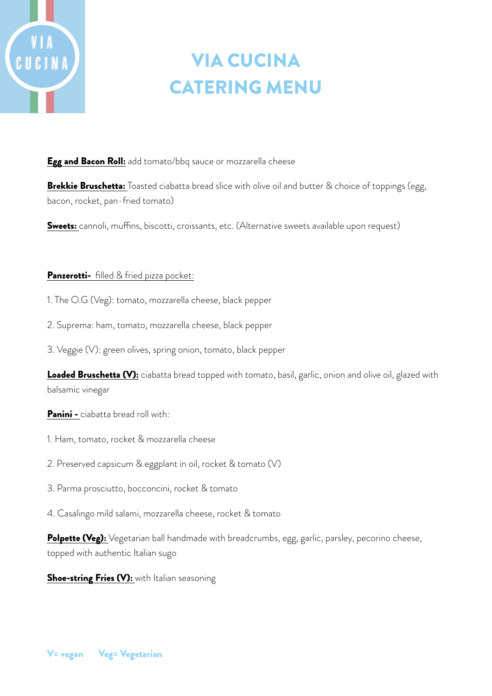# UCINA

# VIA CUCINA CATERING MENU

Egg and Bacon Roll: add tomato/bbq sauce or mozzarella cheese

Brekkie Bruschetta: Toasted ciabatta bread slice with olive oil and butter & choice of toppings (egg, bacon, rocket, pan-fried tomato)

Sweets: cannoli, muffins, biscotti, croissants, etc. (Alternative sweets available upon request)

### Panzerotti- filled & fried pizza pocket:

- 1. The O.G (Veg): tomato, mozzarella cheese, black pepper
- 2. Suprema: ham, tomato, mozzarella cheese, black pepper
- 3. Veggie (V): green olives, spring onion, tomato, black pepper

Loaded Bruschetta (V): ciabatta bread topped with tomato, basil, garlic, onion and olive oil, glazed with balsamic vinegar

Panini - ciabatta bread roll with:

- 1. Ham, tomato, rocket & mozzarella cheese
- 2. Preserved capsicum & eggplant in oil, rocket & tomato (V)
- 3. Parma prosciutto, bocconcini, rocket & tomato
- 4. Casalingo mild salami, mozzarella cheese, rocket & tomato

Polpette (Veg): Vegetarian ball handmade with breadcrumbs, egg, garlic, parsley, pecorino cheese, topped with authentic Italian sugo

**Shoe-string Fries (V):** with Italian seasoning